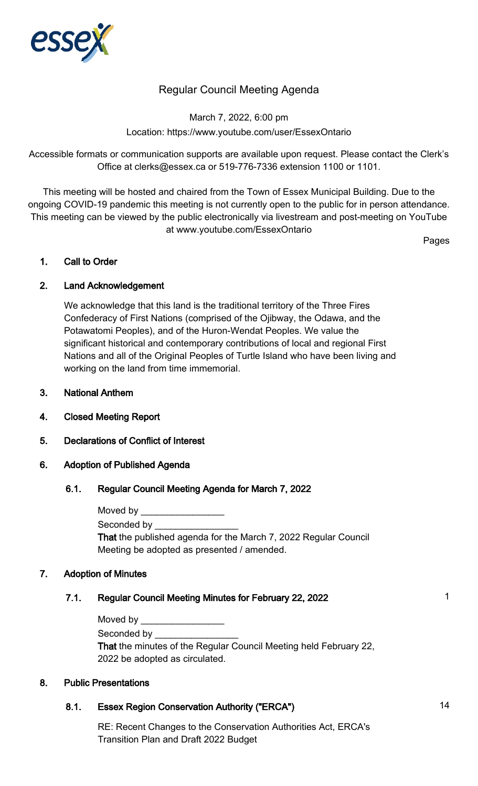

# Regular Council Meeting Agenda

March 7, 2022, 6:00 pm Location: https://www.youtube.com/user/EssexOntario

Accessible formats or communication supports are available upon request. Please contact the Clerk's Office at clerks@essex.ca or 519-776-7336 extension 1100 or 1101.

This meeting will be hosted and chaired from the Town of Essex Municipal Building. Due to the ongoing COVID-19 pandemic this meeting is not currently open to the public for in person attendance. This meeting can be viewed by the public electronically via livestream and post-meeting on YouTube at www.youtube.com/EssexOntario

Pages

### 1. Call to Order

# 2. Land Acknowledgement

We acknowledge that this land is the traditional territory of the Three Fires Confederacy of First Nations (comprised of the Ojibway, the Odawa, and the Potawatomi Peoples), and of the Huron-Wendat Peoples. We value the significant historical and contemporary contributions of local and regional First Nations and all of the Original Peoples of Turtle Island who have been living and working on the land from time immemorial.

- 3. National Anthem
- 4. Closed Meeting Report
- 5. Declarations of Conflict of Interest

### 6. Adoption of Published Agenda

### 6.1. Regular Council Meeting Agenda for March 7, 2022

| Moved by                                                        |
|-----------------------------------------------------------------|
| Seconded by Seconded by                                         |
| That the published agenda for the March 7, 2022 Regular Council |
| Meeting be adopted as presented / amended.                      |

### 7. Adoption of Minutes

# 7.1. Regular Council Meeting Minutes for February 22, 2022 1996 1997 1998

| Moved by |  |  |  |
|----------|--|--|--|
|          |  |  |  |

Seconded by

That the minutes of the Regular Council Meeting held February 22, 2022 be adopted as circulated.

### 8. Public Presentations

# 8.1. Essex Region Conservation Authority ("ERCA") 34

RE: Recent Changes to the Conservation Authorities Act, ERCA's Transition Plan and Draft 2022 Budget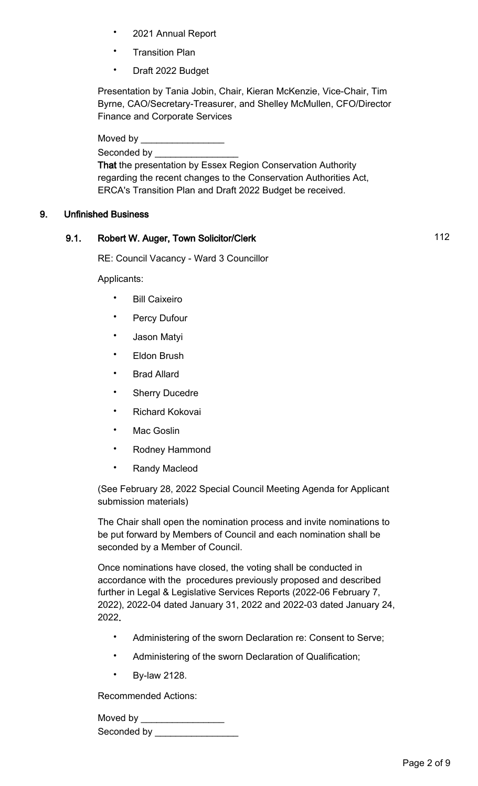- 2021 Annual Report
- **Transition Plan**
- Draft 2022 Budget

Presentation by Tania Jobin, Chair, Kieran McKenzie, Vice-Chair, Tim Byrne, CAO/Secretary-Treasurer, and Shelley McMullen, CFO/Director Finance and Corporate Services

Moved by

Seconded by \_\_\_\_\_\_\_\_\_\_\_\_\_\_\_\_

That the presentation by Essex Region Conservation Authority regarding the recent changes to the Conservation Authorities Act, ERCA's Transition Plan and Draft 2022 Budget be received.

# 9. Unfinished Business

# 9.1. Robert W. Auger, Town Solicitor/Clerk 112

RE: Council Vacancy - Ward 3 Councillor

Applicants:

- Bill Caixeiro
- Percy Dufour
- Jason Matyi
- **Eldon Brush**
- Brad Allard
- Sherry Ducedre
- Richard Kokovai
- Mac Goslin
- Rodney Hammond
- Randy Macleod

(See February 28, 2022 Special Council Meeting Agenda for Applicant submission materials)

The Chair shall open the nomination process and invite nominations to be put forward by Members of Council and each nomination shall be seconded by a Member of Council.

Once nominations have closed, the voting shall be conducted in accordance with the procedures previously proposed and described further in Legal & Legislative Services Reports (2022-06 February 7, 2022), 2022-04 dated January 31, 2022 and 2022-03 dated January 24, 2022.

- Administering of the sworn Declaration re: Consent to Serve;
- Administering of the sworn Declaration of Qualification;
- By-law 2128.

Recommended Actions:

Moved by \_\_\_\_\_\_\_\_\_\_\_\_\_\_\_\_ Seconded by \_\_\_\_\_\_\_\_\_\_\_\_\_\_\_\_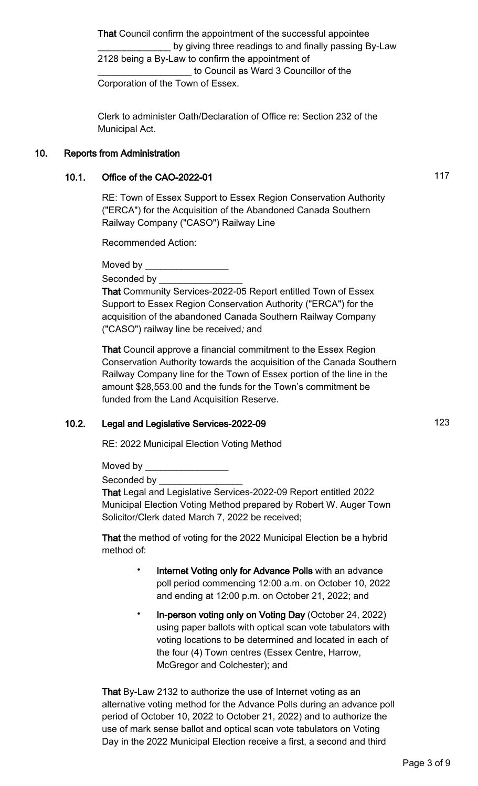That Council confirm the appointment of the successful appointee by giving three readings to and finally passing By-Law 2128 being a By-Law to confirm the appointment of to Council as Ward 3 Councillor of the Corporation of the Town of Essex.

Clerk to administer Oath/Declaration of Office re: Section 232 of the Municipal Act.

### 10. Reports from Administration

# 10.1. Office of the CAO-2022-01 10.1. The state of the CAO-2022-01

RE: Town of Essex Support to Essex Region Conservation Authority ("ERCA") for the Acquisition of the Abandoned Canada Southern Railway Company ("CASO") Railway Line

Recommended Action:

Moved by **Example** 

Seconded by

That Community Services-2022-05 Report entitled Town of Essex Support to Essex Region Conservation Authority ("ERCA") for the acquisition of the abandoned Canada Southern Railway Company ("CASO") railway line be received; and

That Council approve a financial commitment to the Essex Region Conservation Authority towards the acquisition of the Canada Southern Railway Company line for the Town of Essex portion of the line in the amount \$28,553.00 and the funds for the Town's commitment be funded from the Land Acquisition Reserve.

# 10.2. Legal and Legislative Services-2022-09 123

RE: 2022 Municipal Election Voting Method

Moved by **Example 20** 

Seconded by

That Legal and Legislative Services-2022-09 Report entitled 2022 Municipal Election Voting Method prepared by Robert W. Auger Town Solicitor/Clerk dated March 7, 2022 be received;

That the method of voting for the 2022 Municipal Election be a hybrid method of:

- Internet Voting only for Advance Polls with an advance poll period commencing 12:00 a.m. on October 10, 2022 and ending at 12:00 p.m. on October 21, 2022; and
- In-person voting only on Voting Day (October 24, 2022) using paper ballots with optical scan vote tabulators with voting locations to be determined and located in each of the four (4) Town centres (Essex Centre, Harrow, McGregor and Colchester); and

That By-Law 2132 to authorize the use of Internet voting as an alternative voting method for the Advance Polls during an advance poll period of October 10, 2022 to October 21, 2022) and to authorize the use of mark sense ballot and optical scan vote tabulators on Voting Day in the 2022 Municipal Election receive a first, a second and third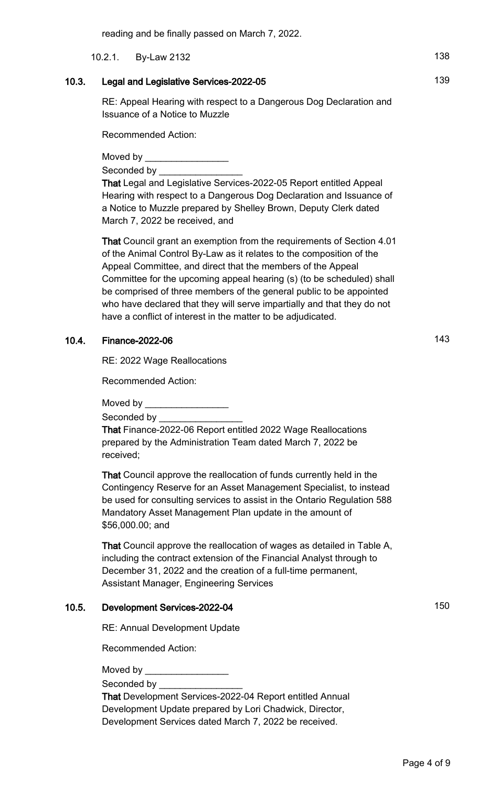10.2.1. By-Law 2132 138

### 10.3. Legal and Legislative Services-2022-05 139

RE: Appeal Hearing with respect to a Dangerous Dog Declaration and Issuance of a Notice to Muzzle

Recommended Action:

Moved by

Seconded by **Example 20** 

That Legal and Legislative Services-2022-05 Report entitled Appeal Hearing with respect to a Dangerous Dog Declaration and Issuance of a Notice to Muzzle prepared by Shelley Brown, Deputy Clerk dated March 7, 2022 be received, and

That Council grant an exemption from the requirements of Section 4.01 of the Animal Control By-Law as it relates to the composition of the Appeal Committee, and direct that the members of the Appeal Committee for the upcoming appeal hearing (s) (to be scheduled) shall be comprised of three members of the general public to be appointed who have declared that they will serve impartially and that they do not have a conflict of interest in the matter to be adjudicated.

# 10.4. Finance-2022-06 143

RE: 2022 Wage Reallocations

Recommended Action:

Moved by  $\_\_$ 

Seconded by

That Finance-2022-06 Report entitled 2022 Wage Reallocations prepared by the Administration Team dated March 7, 2022 be received;

That Council approve the reallocation of funds currently held in the Contingency Reserve for an Asset Management Specialist, to instead be used for consulting services to assist in the Ontario Regulation 588 Mandatory Asset Management Plan update in the amount of \$56,000.00; and

That Council approve the reallocation of wages as detailed in Table A, including the contract extension of the Financial Analyst through to December 31, 2022 and the creation of a full-time permanent, Assistant Manager, Engineering Services

# 10.5. Development Services-2022-04 150

RE: Annual Development Update

Recommended Action:

Moved by

Seconded by

That Development Services-2022-04 Report entitled Annual Development Update prepared by Lori Chadwick, Director, Development Services dated March 7, 2022 be received.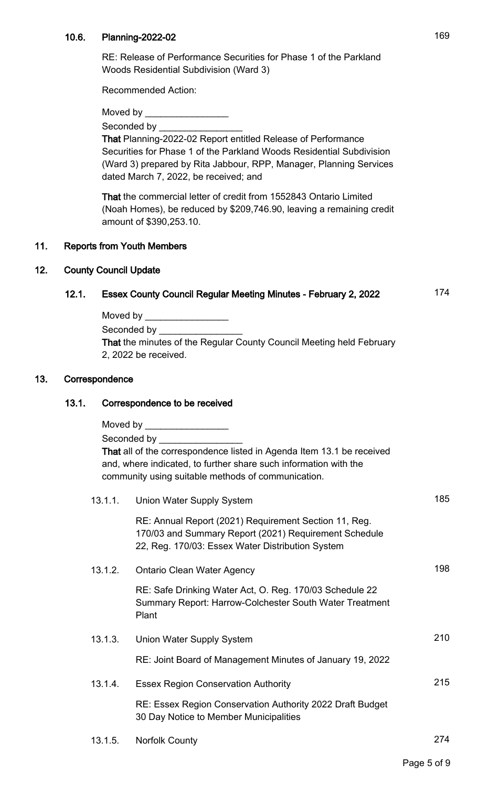### 10.6. Planning-2022-02 169

RE: Release of Performance Securities for Phase 1 of the Parkland Woods Residential Subdivision (Ward 3)

Recommended Action:

Moved by

Seconded by \_\_\_\_\_\_\_\_\_\_\_\_\_\_\_\_

That Planning-2022-02 Report entitled Release of Performance Securities for Phase 1 of the Parkland Woods Residential Subdivision (Ward 3) prepared by Rita Jabbour, RPP, Manager, Planning Services dated March 7, 2022, be received; and

That the commercial letter of credit from 1552843 Ontario Limited (Noah Homes), be reduced by \$209,746.90, leaving a remaining credit amount of \$390,253.10.

### 11. Reports from Youth Members

#### 12. County Council Update

# 12.1. Essex County Council Regular Meeting Minutes - February 2, 2022 174

Moved by  $\sqrt{2}$ Seconded by \_\_\_\_\_\_ That the minutes of the Regular County Council Meeting held February 2, 2022 be received.

#### 13. Correspondence

#### 13.1. Correspondence to be received

Moved by  $\sqrt{2\pi}$ Seconded by That all of the correspondence listed in Agenda Item 13.1 be received and, where indicated, to further share such information with the community using suitable methods of communication.

| 13.1.1. | Union Water Supply System                                                                                                                                          | 185 |
|---------|--------------------------------------------------------------------------------------------------------------------------------------------------------------------|-----|
|         | RE: Annual Report (2021) Requirement Section 11, Reg.<br>170/03 and Summary Report (2021) Requirement Schedule<br>22, Reg. 170/03: Essex Water Distribution System |     |
| 13.1.2. | <b>Ontario Clean Water Agency</b>                                                                                                                                  | 198 |
|         | RE: Safe Drinking Water Act, O. Reg. 170/03 Schedule 22<br>Summary Report: Harrow-Colchester South Water Treatment<br>Plant                                        |     |
| 13.1.3. | Union Water Supply System                                                                                                                                          | 210 |
|         | RE: Joint Board of Management Minutes of January 19, 2022                                                                                                          |     |
| 13.1.4. | <b>Essex Region Conservation Authority</b>                                                                                                                         | 215 |
|         | RE: Essex Region Conservation Authority 2022 Draft Budget<br>30 Day Notice to Member Municipalities                                                                |     |
|         |                                                                                                                                                                    |     |

- 13.1.5. Norfolk County 274
	-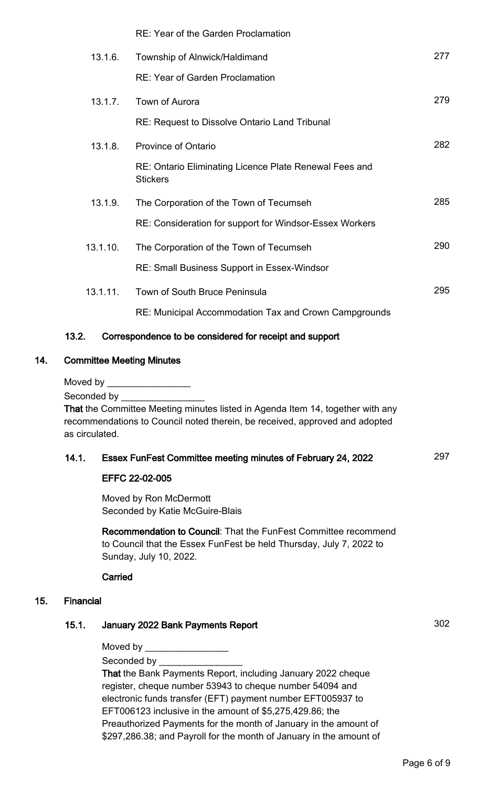|     |                                                                                | <b>RE: Year of the Garden Proclamation</b>                                  |     |  |
|-----|--------------------------------------------------------------------------------|-----------------------------------------------------------------------------|-----|--|
|     | 13.1.6.                                                                        | Township of Alnwick/Haldimand                                               | 277 |  |
|     |                                                                                | <b>RE: Year of Garden Proclamation</b>                                      |     |  |
|     | 13.1.7.                                                                        | Town of Aurora                                                              | 279 |  |
|     |                                                                                | <b>RE: Request to Dissolve Ontario Land Tribunal</b>                        |     |  |
|     | 13.1.8.                                                                        | <b>Province of Ontario</b>                                                  | 282 |  |
|     |                                                                                | RE: Ontario Eliminating Licence Plate Renewal Fees and<br><b>Stickers</b>   |     |  |
|     | 13.1.9.                                                                        | The Corporation of the Town of Tecumseh                                     | 285 |  |
|     |                                                                                | RE: Consideration for support for Windsor-Essex Workers                     |     |  |
|     | 13.1.10.                                                                       | The Corporation of the Town of Tecumseh                                     | 290 |  |
|     |                                                                                | RE: Small Business Support in Essex-Windsor                                 |     |  |
|     | 13.1.11.                                                                       | Town of South Bruce Peninsula                                               | 295 |  |
|     |                                                                                | RE: Municipal Accommodation Tax and Crown Campgrounds                       |     |  |
|     | 13.2.                                                                          | Correspondence to be considered for receipt and support                     |     |  |
| 14. | <b>Committee Meeting Minutes</b>                                               |                                                                             |     |  |
|     | Moved by ____________________                                                  |                                                                             |     |  |
|     |                                                                                |                                                                             |     |  |
|     | That the Committee Meeting minutes listed in Agenda Item 14, together with any |                                                                             |     |  |
|     |                                                                                | recommendations to Council noted therein, be received, approved and adopted |     |  |
|     | as circulated.                                                                 |                                                                             |     |  |

# 14.1. Essex FunFest Committee meeting minutes of February 24, 2022 297

#### EFFC 22-02-005

Moved by Ron McDermott Seconded by Katie McGuire-Blais

Recommendation to Council: That the FunFest Committee recommend to Council that the Essex FunFest be held Thursday, July 7, 2022 to Sunday, July 10, 2022.

**Carried** 

#### 15. Financial

# 15.1. January 2022 Bank Payments Report 302

Moved by  $_$ 

Seconded by

That the Bank Payments Report, including January 2022 cheque register, cheque number 53943 to cheque number 54094 and electronic funds transfer (EFT) payment number EFT005937 to EFT006123 inclusive in the amount of \$5,275,429.86; the Preauthorized Payments for the month of January in the amount of \$297,286.38; and Payroll for the month of January in the amount of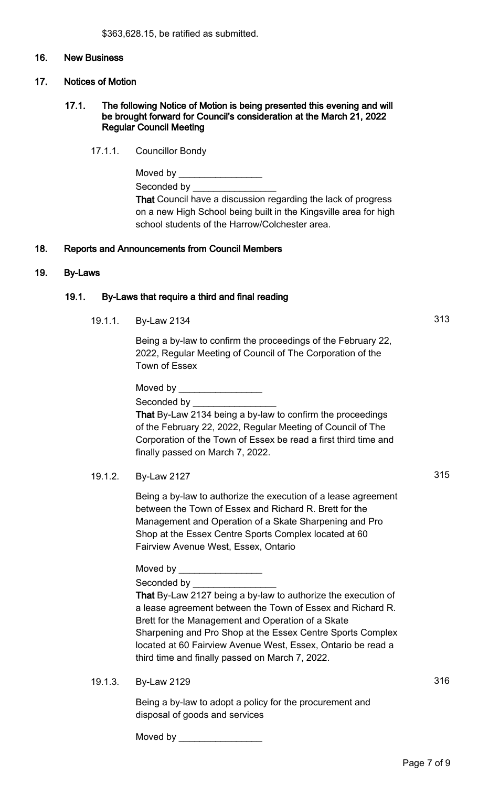#### 16. New Business

#### 17. Notices of Motion

#### 17.1. The following Notice of Motion is being presented this evening and will be brought forward for Council's consideration at the March 21, 2022 Regular Council Meeting

17.1.1. Councillor Bondy

### 18. Reports and Announcements from Council Members

#### 19. By-Laws

#### 19.1. By-Laws that require a third and final reading

19.1.1. By-Law 2134 313

Being a by-law to confirm the proceedings of the February 22, 2022, Regular Meeting of Council of The Corporation of the Town of Essex

Moved by Seconded by

That By-Law 2134 being a by-law to confirm the proceedings of the February 22, 2022, Regular Meeting of Council of The Corporation of the Town of Essex be read a first third time and finally passed on March 7, 2022.

19.1.2. By-Law 2127 315

Being a by-law to authorize the execution of a lease agreement between the Town of Essex and Richard R. Brett for the Management and Operation of a Skate Sharpening and Pro Shop at the Essex Centre Sports Complex located at 60 Fairview Avenue West, Essex, Ontario

Moved by **Example 20** 

Seconded by

That By-Law 2127 being a by-law to authorize the execution of a lease agreement between the Town of Essex and Richard R. Brett for the Management and Operation of a Skate Sharpening and Pro Shop at the Essex Centre Sports Complex located at 60 Fairview Avenue West, Essex, Ontario be read a third time and finally passed on March 7, 2022.

19.1.3. By-Law 2129 316

Being a by-law to adopt a policy for the procurement and disposal of goods and services

Moved by \_\_\_\_\_\_\_\_\_\_\_\_\_\_\_\_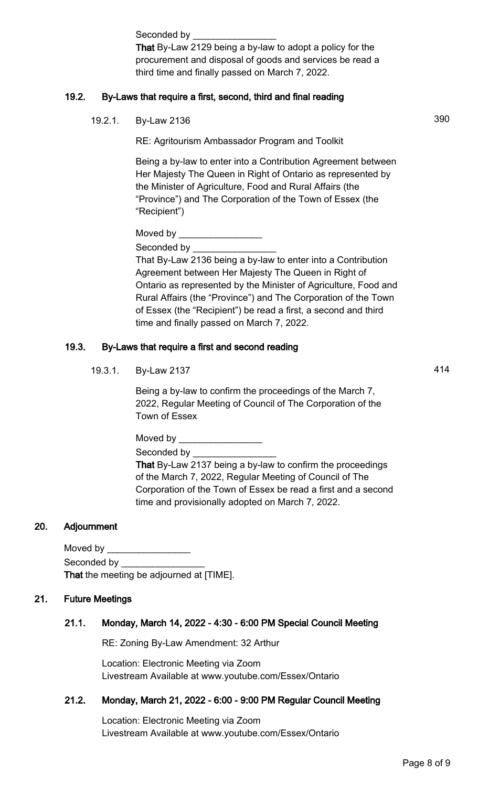Seconded by \_ That By-Law 2129 being a by-law to adopt a policy for the procurement and disposal of goods and services be read a third time and finally passed on March 7, 2022.

# 19.2. By-Laws that require a first, second, third and final reading

19.2.1. By-Law 2136 390

RE: Agritourism Ambassador Program and Toolkit

Being a by-law to enter into a Contribution Agreement between Her Majesty The Queen in Right of Ontario as represented by the Minister of Agriculture, Food and Rural Affairs (the "Province") and The Corporation of the Town of Essex (the "Recipient")

Moved by \_\_\_\_\_\_\_\_\_\_\_\_\_\_\_\_ Seconded by

That By-Law 2136 being a by-law to enter into a Contribution Agreement between Her Majesty The Queen in Right of Ontario as represented by the Minister of Agriculture, Food and Rural Affairs (the "Province") and The Corporation of the Town of Essex (the "Recipient") be read a first, a second and third time and finally passed on March 7, 2022.

# 19.3. By-Laws that require a first and second reading

19.3.1. By-Law 2137 414

Being a by-law to confirm the proceedings of the March 7, 2022, Regular Meeting of Council of The Corporation of the Town of Essex

Moved by  $\_$ Seconded by

That By-Law 2137 being a by-law to confirm the proceedings of the March 7, 2022, Regular Meeting of Council of The Corporation of the Town of Essex be read a first and a second time and provisionally adopted on March 7, 2022.

# 20. Adjournment

| Moved by    |                                                 |
|-------------|-------------------------------------------------|
| Seconded by |                                                 |
|             | <b>That</b> the meeting be adjourned at [TIME]. |

# 21. Future Meetings

# 21.1. Monday, March 14, 2022 - 4:30 - 6:00 PM Special Council Meeting

RE: Zoning By-Law Amendment: 32 Arthur

Location: Electronic Meeting via Zoom Livestream Available at www.youtube.com/Essex/Ontario

### 21.2. Monday, March 21, 2022 - 6:00 - 9:00 PM Regular Council Meeting

Location: Electronic Meeting via Zoom Livestream Available at www.youtube.com/Essex/Ontario